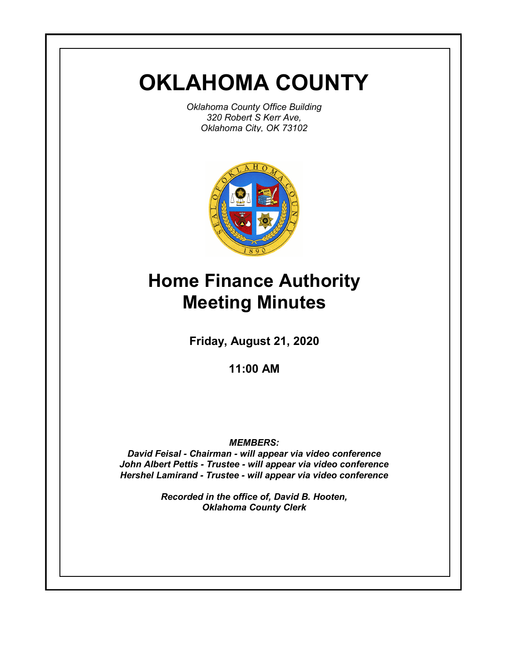# **OKLAHOMA COUNTY**

*Oklahoma County Office Building 320 Robert S Kerr Ave, Oklahoma City, OK 73102*



# **Home Finance Authority Meeting Minutes**

**Friday, August 21, 2020**

**11:00 AM**

*MEMBERS:*

*David Feisal - Chairman - will appear via video conference John Albert Pettis - Trustee - will appear via video conference Hershel Lamirand - Trustee - will appear via video conference*

> *Recorded in the office of, David B. Hooten, Oklahoma County Clerk*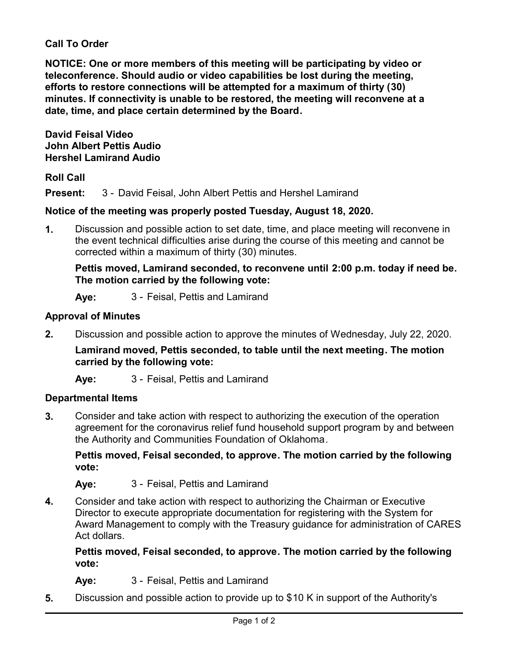## **Call To Order**

**NOTICE: One or more members of this meeting will be participating by video or teleconference. Should audio or video capabilities be lost during the meeting, efforts to restore connections will be attempted for a maximum of thirty (30) minutes. If connectivity is unable to be restored, the meeting will reconvene at a date, time, and place certain determined by the Board.**

**David Feisal Video John Albert Pettis Audio Hershel Lamirand Audio**

## **Roll Call**

**Present:** 3 - David Feisal, John Albert Pettis and Hershel Lamirand

# **Notice of the meeting was properly posted Tuesday, August 18, 2020.**

**1.** Discussion and possible action to set date, time, and place meeting will reconvene in the event technical difficulties arise during the course of this meeting and cannot be corrected within a maximum of thirty (30) minutes.

**Pettis moved, Lamirand seconded, to reconvene until 2:00 p.m. today if need be. The motion carried by the following vote:**

**Aye:** 3 - Feisal, Pettis and Lamirand

## **Approval of Minutes**

**2.** Discussion and possible action to approve the minutes of Wednesday, July 22, 2020.

**Lamirand moved, Pettis seconded, to table until the next meeting. The motion carried by the following vote:**

**Aye:** 3 - Feisal, Pettis and Lamirand

## **Departmental Items**

**3.** Consider and take action with respect to authorizing the execution of the operation agreement for the coronavirus relief fund household support program by and between the Authority and Communities Foundation of Oklahoma.

**Pettis moved, Feisal seconded, to approve. The motion carried by the following vote:**

**Aye:** 3 - Feisal, Pettis and Lamirand

**4.** Consider and take action with respect to authorizing the Chairman or Executive Director to execute appropriate documentation for registering with the System for Award Management to comply with the Treasury guidance for administration of CARES Act dollars.

**Pettis moved, Feisal seconded, to approve. The motion carried by the following vote:**

- **Aye:** 3 Feisal, Pettis and Lamirand
- **5.** Discussion and possible action to provide up to \$10 K in support of the Authority's